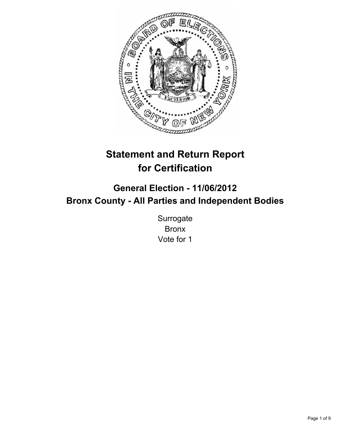

# **Statement and Return Report for Certification**

## **General Election - 11/06/2012 Bronx County - All Parties and Independent Bodies**

Surrogate Bronx Vote for 1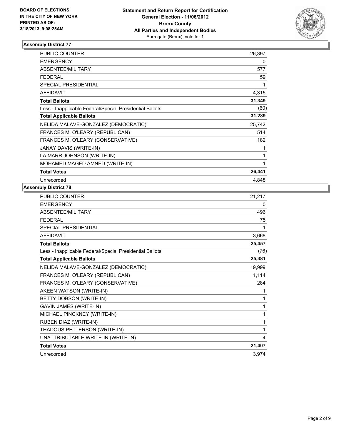

| <b>PUBLIC COUNTER</b>                                    | 26,397 |
|----------------------------------------------------------|--------|
| <b>EMERGENCY</b>                                         | 0      |
| ABSENTEE/MILITARY                                        | 577    |
| <b>FEDERAL</b>                                           | 59     |
| <b>SPECIAL PRESIDENTIAL</b>                              | 1      |
| <b>AFFIDAVIT</b>                                         | 4,315  |
| <b>Total Ballots</b>                                     | 31,349 |
| Less - Inapplicable Federal/Special Presidential Ballots | (60)   |
| <b>Total Applicable Ballots</b>                          | 31,289 |
| NELIDA MALAVE-GONZALEZ (DEMOCRATIC)                      | 25,742 |
| FRANCES M. O'LEARY (REPUBLICAN)                          | 514    |
| FRANCES M. O'LEARY (CONSERVATIVE)                        | 182    |
| JANAY DAVIS (WRITE-IN)                                   | 1      |
| LA MARR JOHNSON (WRITE-IN)                               | 1      |
| MOHAMED MAGED AMNED (WRITE-IN)                           | 1      |
| <b>Total Votes</b>                                       | 26,441 |
| Unrecorded                                               | 4,848  |

| <b>PUBLIC COUNTER</b>                                    | 21,217 |
|----------------------------------------------------------|--------|
| <b>EMERGENCY</b>                                         | 0      |
| ABSENTEE/MILITARY                                        | 496    |
| <b>FEDERAL</b>                                           | 75     |
| SPECIAL PRESIDENTIAL                                     |        |
| <b>AFFIDAVIT</b>                                         | 3,668  |
| <b>Total Ballots</b>                                     | 25,457 |
| Less - Inapplicable Federal/Special Presidential Ballots | (76)   |
| <b>Total Applicable Ballots</b>                          | 25,381 |
| NELIDA MALAVE-GONZALEZ (DEMOCRATIC)                      | 19,999 |
| FRANCES M. O'LEARY (REPUBLICAN)                          | 1,114  |
| FRANCES M. O'LEARY (CONSERVATIVE)                        | 284    |
| AKEEN WATSON (WRITE-IN)                                  | 1      |
| BETTY DOBSON (WRITE-IN)                                  | 1      |
| <b>GAVIN JAMES (WRITE-IN)</b>                            | 1      |
| MICHAEL PINCKNEY (WRITE-IN)                              | 1      |
| RUBEN DIAZ (WRITE-IN)                                    | 1      |
| THADOUS PETTERSON (WRITE-IN)                             | 1      |
| UNATTRIBUTABLE WRITE-IN (WRITE-IN)                       | 4      |
| <b>Total Votes</b>                                       | 21,407 |
| Unrecorded                                               | 3.974  |
|                                                          |        |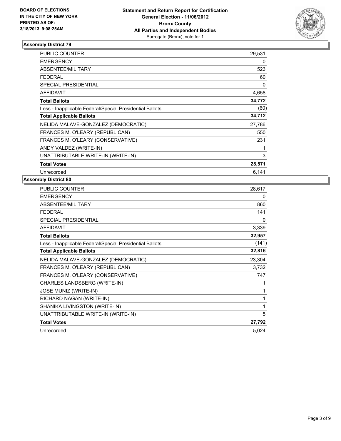

| <b>PUBLIC COUNTER</b>                                    | 29,531 |
|----------------------------------------------------------|--------|
| <b>EMERGENCY</b>                                         | 0      |
| ABSENTEE/MILITARY                                        | 523    |
| <b>FEDERAL</b>                                           | 60     |
| <b>SPECIAL PRESIDENTIAL</b>                              | 0      |
| <b>AFFIDAVIT</b>                                         | 4,658  |
| <b>Total Ballots</b>                                     | 34,772 |
| Less - Inapplicable Federal/Special Presidential Ballots | (60)   |
| <b>Total Applicable Ballots</b>                          | 34,712 |
| NELIDA MALAVE-GONZALEZ (DEMOCRATIC)                      | 27,786 |
| FRANCES M. O'LEARY (REPUBLICAN)                          | 550    |
| FRANCES M. O'LEARY (CONSERVATIVE)                        | 231    |
| ANDY VALDEZ (WRITE-IN)                                   | 1      |
| UNATTRIBUTABLE WRITE-IN (WRITE-IN)                       | 3      |
| <b>Total Votes</b>                                       | 28,571 |
| Unrecorded                                               | 6,141  |

| <b>PUBLIC COUNTER</b>                                    | 28,617 |
|----------------------------------------------------------|--------|
| <b>EMERGENCY</b>                                         | 0      |
| ABSENTEE/MILITARY                                        | 860    |
| <b>FEDERAL</b>                                           | 141    |
| SPECIAL PRESIDENTIAL                                     | 0      |
| <b>AFFIDAVIT</b>                                         | 3,339  |
| <b>Total Ballots</b>                                     | 32,957 |
| Less - Inapplicable Federal/Special Presidential Ballots | (141)  |
| <b>Total Applicable Ballots</b>                          | 32,816 |
| NELIDA MALAVE-GONZALEZ (DEMOCRATIC)                      | 23,304 |
| FRANCES M. O'LEARY (REPUBLICAN)                          | 3,732  |
| FRANCES M. O'LEARY (CONSERVATIVE)                        | 747    |
| CHARLES LANDSBERG (WRITE-IN)                             | 1      |
| <b>JOSE MUNIZ (WRITE-IN)</b>                             | 1      |
| RICHARD NAGAN (WRITE-IN)                                 | 1      |
| SHANIKA LIVINGSTON (WRITE-IN)                            | 1      |
| UNATTRIBUTABLE WRITE-IN (WRITE-IN)                       | 5      |
| <b>Total Votes</b>                                       | 27,792 |
| Unrecorded                                               | 5,024  |
|                                                          |        |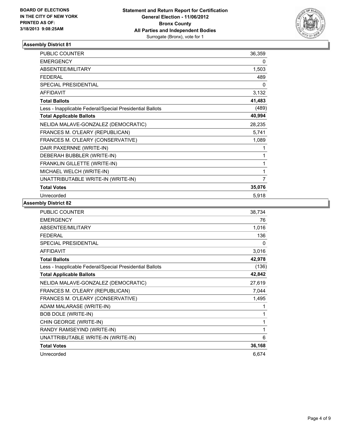

| <b>PUBLIC COUNTER</b>                                    | 36,359 |
|----------------------------------------------------------|--------|
| <b>EMERGENCY</b>                                         | 0      |
| <b>ABSENTEE/MILITARY</b>                                 | 1,503  |
| <b>FEDERAL</b>                                           | 489    |
| <b>SPECIAL PRESIDENTIAL</b>                              | 0      |
| <b>AFFIDAVIT</b>                                         | 3,132  |
| <b>Total Ballots</b>                                     | 41,483 |
| Less - Inapplicable Federal/Special Presidential Ballots | (489)  |
| <b>Total Applicable Ballots</b>                          | 40,994 |
| NELIDA MALAVE-GONZALEZ (DEMOCRATIC)                      | 28,235 |
| FRANCES M. O'LEARY (REPUBLICAN)                          | 5,741  |
| FRANCES M. O'LEARY (CONSERVATIVE)                        | 1,089  |
| DAIR PAXERNNE (WRITE-IN)                                 | 1      |
| DEBERAH BUBBLER (WRITE-IN)                               | 1      |
| FRANKLIN GILLETTE (WRITE-IN)                             |        |
| MICHAEL WELCH (WRITE-IN)                                 | 1      |
| UNATTRIBUTABLE WRITE-IN (WRITE-IN)                       | 7      |
| <b>Total Votes</b>                                       | 35,076 |
| Unrecorded                                               | 5,918  |

| <b>PUBLIC COUNTER</b>                                    | 38,734 |
|----------------------------------------------------------|--------|
| <b>EMERGENCY</b>                                         | 76     |
| <b>ABSENTEE/MILITARY</b>                                 | 1,016  |
| <b>FEDERAL</b>                                           | 136    |
| <b>SPECIAL PRESIDENTIAL</b>                              | 0      |
| <b>AFFIDAVIT</b>                                         | 3,016  |
| <b>Total Ballots</b>                                     | 42,978 |
| Less - Inapplicable Federal/Special Presidential Ballots | (136)  |
| <b>Total Applicable Ballots</b>                          | 42,842 |
| NELIDA MALAVE-GONZALEZ (DEMOCRATIC)                      | 27,619 |
| FRANCES M. O'LEARY (REPUBLICAN)                          | 7,044  |
| FRANCES M. O'LEARY (CONSERVATIVE)                        | 1,495  |
| ADAM MALARASE (WRITE-IN)                                 | 1      |
| BOB DOLE (WRITE-IN)                                      | 1      |
| CHIN GEORGE (WRITE-IN)                                   | 1      |
| RANDY RAMSEYIND (WRITE-IN)                               | 1      |
| UNATTRIBUTABLE WRITE-IN (WRITE-IN)                       | 6      |
| <b>Total Votes</b>                                       | 36,168 |
| Unrecorded                                               | 6,674  |
|                                                          |        |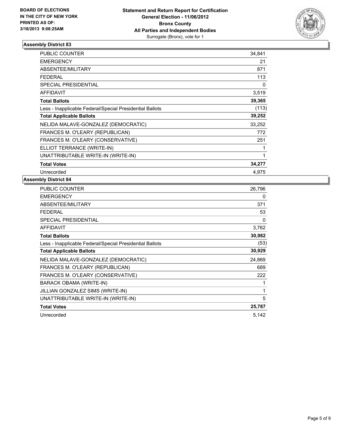

| <b>PUBLIC COUNTER</b>                                    | 34,841 |
|----------------------------------------------------------|--------|
| <b>EMERGENCY</b>                                         | 21     |
| ABSENTEE/MILITARY                                        | 871    |
| <b>FEDERAL</b>                                           | 113    |
| <b>SPECIAL PRESIDENTIAL</b>                              | 0      |
| <b>AFFIDAVIT</b>                                         | 3,519  |
| <b>Total Ballots</b>                                     | 39,365 |
| Less - Inapplicable Federal/Special Presidential Ballots | (113)  |
| <b>Total Applicable Ballots</b>                          | 39,252 |
| NELIDA MALAVE-GONZALEZ (DEMOCRATIC)                      | 33,252 |
| FRANCES M. O'LEARY (REPUBLICAN)                          | 772    |
| FRANCES M. O'LEARY (CONSERVATIVE)                        | 251    |
| ELLIOT TERRANCE (WRITE-IN)                               | 1      |
| UNATTRIBUTABLE WRITE-IN (WRITE-IN)                       | 1      |
| <b>Total Votes</b>                                       | 34,277 |
| Unrecorded                                               | 4.975  |

| <b>PUBLIC COUNTER</b>                                    | 26,796 |
|----------------------------------------------------------|--------|
| <b>EMERGENCY</b>                                         | 0      |
| ABSENTEE/MILITARY                                        | 371    |
| FEDERAL                                                  | 53     |
| <b>SPECIAL PRESIDENTIAL</b>                              | 0      |
| <b>AFFIDAVIT</b>                                         | 3,762  |
| <b>Total Ballots</b>                                     | 30,982 |
| Less - Inapplicable Federal/Special Presidential Ballots | (53)   |
| <b>Total Applicable Ballots</b>                          | 30,929 |
| NELIDA MALAVE-GONZALEZ (DEMOCRATIC)                      | 24,869 |
| FRANCES M. O'LEARY (REPUBLICAN)                          | 689    |
| FRANCES M. O'LEARY (CONSERVATIVE)                        | 222    |
| BARACK OBAMA (WRITE-IN)                                  | 1      |
| JILLIAN GONZALEZ SIMS (WRITE-IN)                         | 1      |
| UNATTRIBUTABLE WRITE-IN (WRITE-IN)                       | 5      |
| <b>Total Votes</b>                                       | 25,787 |
| Unrecorded                                               | 5,142  |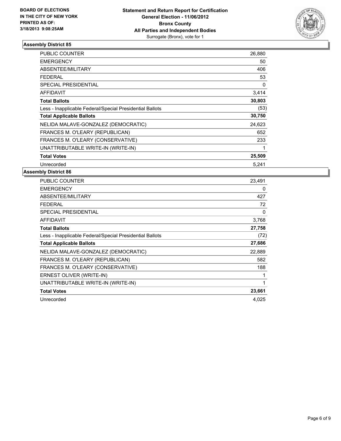

| <b>PUBLIC COUNTER</b>                                    | 26,880 |
|----------------------------------------------------------|--------|
| <b>EMERGENCY</b>                                         | 50     |
| ABSENTEE/MILITARY                                        | 406    |
| <b>FEDERAL</b>                                           | 53     |
| <b>SPECIAL PRESIDENTIAL</b>                              | 0      |
| <b>AFFIDAVIT</b>                                         | 3,414  |
| <b>Total Ballots</b>                                     | 30,803 |
| Less - Inapplicable Federal/Special Presidential Ballots | (53)   |
| <b>Total Applicable Ballots</b>                          | 30,750 |
| NELIDA MALAVE-GONZALEZ (DEMOCRATIC)                      | 24,623 |
| FRANCES M. O'LEARY (REPUBLICAN)                          | 652    |
| FRANCES M. O'LEARY (CONSERVATIVE)                        | 233    |
| UNATTRIBUTABLE WRITE-IN (WRITE-IN)                       | 1      |
| <b>Total Votes</b>                                       | 25,509 |
| Unrecorded                                               | 5.241  |

| <b>PUBLIC COUNTER</b>                                    | 23,491 |
|----------------------------------------------------------|--------|
| <b>EMERGENCY</b>                                         | 0      |
| ABSENTEE/MILITARY                                        | 427    |
| FEDERAL                                                  | 72     |
| <b>SPECIAL PRESIDENTIAL</b>                              | 0      |
| <b>AFFIDAVIT</b>                                         | 3,768  |
| <b>Total Ballots</b>                                     | 27,758 |
| Less - Inapplicable Federal/Special Presidential Ballots | (72)   |
| <b>Total Applicable Ballots</b>                          | 27,686 |
| NELIDA MALAVE-GONZALEZ (DEMOCRATIC)                      | 22,889 |
| FRANCES M. O'LEARY (REPUBLICAN)                          | 582    |
| FRANCES M. O'LEARY (CONSERVATIVE)                        | 188    |
| ERNEST OLIVER (WRITE-IN)                                 |        |
| UNATTRIBUTABLE WRITE-IN (WRITE-IN)                       | 1      |
| <b>Total Votes</b>                                       | 23,661 |
| Unrecorded                                               | 4,025  |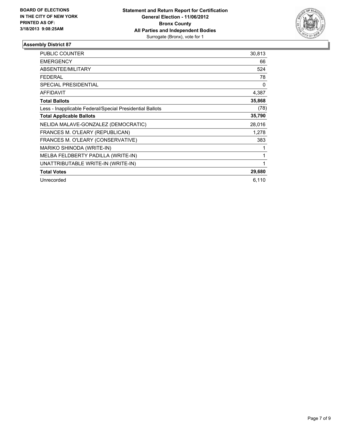

| <b>PUBLIC COUNTER</b>                                    | 30,813 |
|----------------------------------------------------------|--------|
| <b>EMERGENCY</b>                                         | 66     |
| <b>ABSENTEE/MILITARY</b>                                 | 524    |
| <b>FEDERAL</b>                                           | 78     |
| <b>SPECIAL PRESIDENTIAL</b>                              | 0      |
| <b>AFFIDAVIT</b>                                         | 4,387  |
| <b>Total Ballots</b>                                     | 35,868 |
| Less - Inapplicable Federal/Special Presidential Ballots | (78)   |
| <b>Total Applicable Ballots</b>                          | 35,790 |
| NELIDA MALAVE-GONZALEZ (DEMOCRATIC)                      | 28,016 |
| FRANCES M. O'LEARY (REPUBLICAN)                          | 1,278  |
| FRANCES M. O'LEARY (CONSERVATIVE)                        | 383    |
| MARIKO SHINODA (WRITE-IN)                                |        |
| MELBA FELDBERTY PADILLA (WRITE-IN)                       | 1      |
| UNATTRIBUTABLE WRITE-IN (WRITE-IN)                       | 1      |
| <b>Total Votes</b>                                       | 29,680 |
| Unrecorded                                               | 6,110  |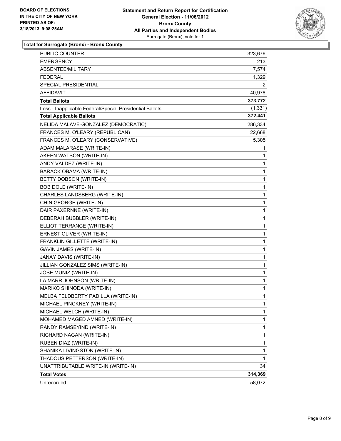

### **Total for Surrogate (Bronx) - Bronx County**

| <b>PUBLIC COUNTER</b>                                    | 323,676  |
|----------------------------------------------------------|----------|
| <b>EMERGENCY</b>                                         | 213      |
| ABSENTEE/MILITARY                                        | 7,574    |
| <b>FEDERAL</b>                                           | 1,329    |
| SPECIAL PRESIDENTIAL                                     | 2        |
| AFFIDAVIT                                                | 40,978   |
| <b>Total Ballots</b>                                     | 373,772  |
| Less - Inapplicable Federal/Special Presidential Ballots | (1, 331) |
| <b>Total Applicable Ballots</b>                          | 372,441  |
| NELIDA MALAVE-GONZALEZ (DEMOCRATIC)                      | 286,334  |
| FRANCES M. O'LEARY (REPUBLICAN)                          | 22,668   |
| FRANCES M. O'LEARY (CONSERVATIVE)                        | 5,305    |
| ADAM MALARASE (WRITE-IN)                                 | 1        |
| AKEEN WATSON (WRITE-IN)                                  | 1        |
| ANDY VALDEZ (WRITE-IN)                                   | 1        |
| BARACK OBAMA (WRITE-IN)                                  | 1        |
| BETTY DOBSON (WRITE-IN)                                  | 1        |
| <b>BOB DOLE (WRITE-IN)</b>                               | 1        |
| CHARLES LANDSBERG (WRITE-IN)                             | 1        |
| CHIN GEORGE (WRITE-IN)                                   | 1        |
| DAIR PAXERNNE (WRITE-IN)                                 | 1        |
| DEBERAH BUBBLER (WRITE-IN)                               | 1        |
| ELLIOT TERRANCE (WRITE-IN)                               | 1        |
| ERNEST OLIVER (WRITE-IN)                                 | 1        |
| FRANKLIN GILLETTE (WRITE-IN)                             | 1        |
| <b>GAVIN JAMES (WRITE-IN)</b>                            | 1        |
| JANAY DAVIS (WRITE-IN)                                   | 1        |
| JILLIAN GONZALEZ SIMS (WRITE-IN)                         | 1        |
| JOSE MUNIZ (WRITE-IN)                                    | 1        |
| LA MARR JOHNSON (WRITE-IN)                               | 1        |
| MARIKO SHINODA (WRITE-IN)                                | 1        |
| MELBA FELDBERTY PADILLA (WRITE-IN)                       | 1        |
| MICHAEL PINCKNEY (WRITE-IN)                              | 1        |
| MICHAEL WELCH (WRITE-IN)                                 | 1        |
| MOHAMED MAGED AMNED (WRITE-IN)                           | 1        |
| RANDY RAMSEYIND (WRITE-IN)                               | 1        |
| RICHARD NAGAN (WRITE-IN)                                 | 1        |
| RUBEN DIAZ (WRITE-IN)                                    | 1        |
| SHANIKA LIVINGSTON (WRITE-IN)                            | 1        |
| THADOUS PETTERSON (WRITE-IN)                             | 1        |
| UNATTRIBUTABLE WRITE-IN (WRITE-IN)                       | 34       |
| <b>Total Votes</b>                                       | 314,369  |
| Unrecorded                                               | 58,072   |